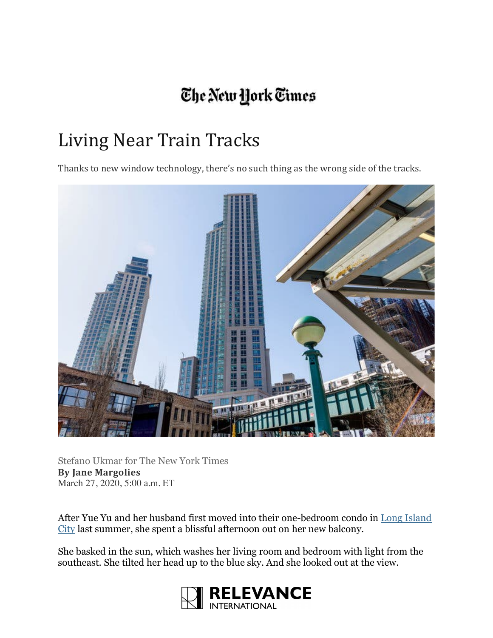## The New York Times

## Living Near Train Tracks

Thanks to new window technology, there's no such thing as the wrong side of the tracks.



Stefano Ukmar for The New York Times **By Jane Margolies** March 27, 2020, 5:00 a.m. ET

After Yue Yu and her husband first moved into their one-bedroom condo in Long Island City last summer, she spent a blissful afternoon out on her new balcony.

She basked in the sun, which washes her living room and bedroom with light from the southeast. She tilted her head up to the blue sky. And she looked out at the view.

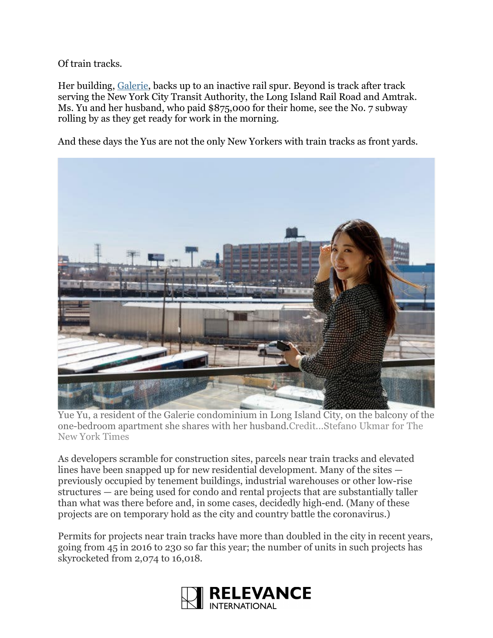Of train tracks.

Her building, Galerie, backs up to an inactive rail spur. Beyond is track after track serving the New York City Transit Authority, the Long Island Rail Road and Amtrak. Ms. Yu and her husband, who paid \$875,000 for their home, see the No. 7 subway rolling by as they get ready for work in the morning.

And these days the Yus are not the only New Yorkers with train tracks as front yards.



Yue Yu, a resident of the Galerie condominium in Long Island City, on the balcony of the one-bedroom apartment she shares with her husband.Credit...Stefano Ukmar for The New York Times

As developers scramble for construction sites, parcels near train tracks and elevated lines have been snapped up for new residential development. Many of the sites previously occupied by tenement buildings, industrial warehouses or other low-rise structures — are being used for condo and rental projects that are substantially taller than what was there before and, in some cases, decidedly high-end. (Many of these projects are on temporary hold as the city and country battle the coronavirus.)

Permits for projects near train tracks have more than doubled in the city in recent years, going from 45 in 2016 to 230 so far this year; the number of units in such projects has skyrocketed from 2,074 to 16,018.

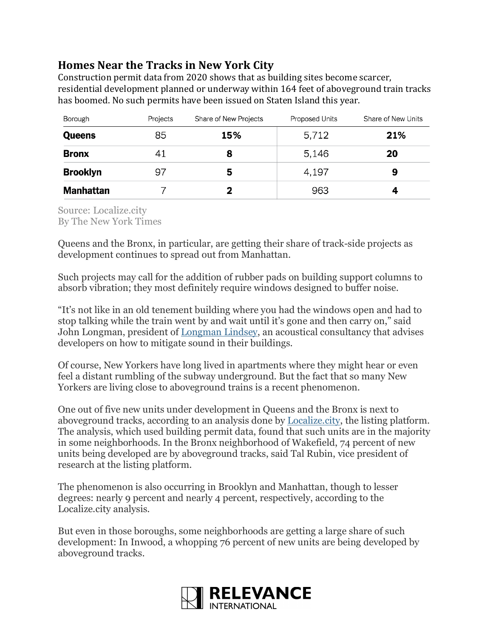## **Homes Near the Tracks in New York City**

Construction permit data from 2020 shows that as building sites become scarcer, residential development planned or underway within 164 feet of aboveground train tracks has boomed. No such permits have been issued on Staten Island this year.

| Borough          | Projects | Share of New Projects | <b>Proposed Units</b> | Share of New Units |
|------------------|----------|-----------------------|-----------------------|--------------------|
| <b>Queens</b>    | 85       | 15%                   | 5,712                 | 21%                |
| <b>Bronx</b>     | 41       | 8                     | 5,146                 | 20                 |
| <b>Brooklyn</b>  | 97       | 5                     | 4,197                 | 9                  |
| <b>Manhattan</b> |          |                       | 963                   |                    |

Source: Localize.city By The New York Times

Queens and the Bronx, in particular, are getting their share of track-side projects as development continues to spread out from Manhattan.

Such projects may call for the addition of rubber pads on building support columns to absorb vibration; they most definitely require windows designed to buffer noise.

"It's not like in an old tenement building where you had the windows open and had to stop talking while the train went by and wait until it's gone and then carry on," said John Longman, president of Longman Lindsey, an acoustical consultancy that advises developers on how to mitigate sound in their buildings.

Of course, New Yorkers have long lived in apartments where they might hear or even feel a distant rumbling of the subway underground. But the fact that so many New Yorkers are living close to aboveground trains is a recent phenomenon.

One out of five new units under development in Queens and the Bronx is next to aboveground tracks, according to an analysis done by Localize.city, the listing platform. The analysis, which used building permit data, found that such units are in the majority in some neighborhoods. In the Bronx neighborhood of Wakefield, 74 percent of new units being developed are by aboveground tracks, said Tal Rubin, vice president of research at the listing platform.

The phenomenon is also occurring in Brooklyn and Manhattan, though to lesser degrees: nearly 9 percent and nearly 4 percent, respectively, according to the Localize.city analysis.

But even in those boroughs, some neighborhoods are getting a large share of such development: In Inwood, a whopping 76 percent of new units are being developed by aboveground tracks.

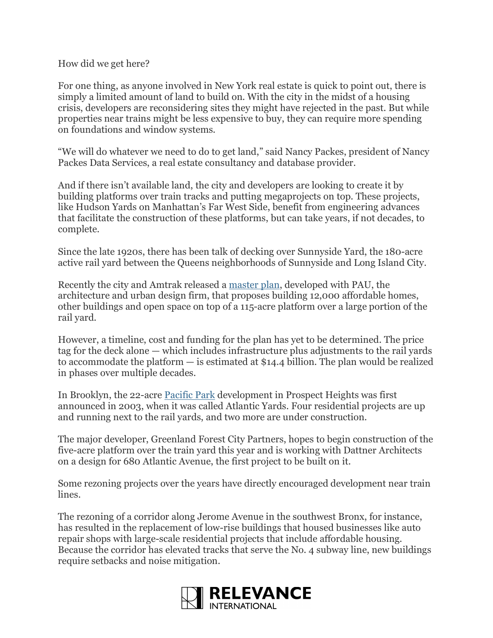## How did we get here?

For one thing, as anyone involved in New York real estate is quick to point out, there is simply a limited amount of land to build on. With the city in the midst of a housing crisis, developers are reconsidering sites they might have rejected in the past. But while properties near trains might be less expensive to buy, they can require more spending on foundations and window systems.

"We will do whatever we need to do to get land," said Nancy Packes, president of Nancy Packes Data Services, a real estate consultancy and database provider.

And if there isn't available land, the city and developers are looking to create it by building platforms over train tracks and putting megaprojects on top. These projects, like Hudson Yards on Manhattan's Far West Side, benefit from engineering advances that facilitate the construction of these platforms, but can take years, if not decades, to complete.

Since the late 1920s, there has been talk of decking over Sunnyside Yard, the 180-acre active rail yard between the Queens neighborhoods of Sunnyside and Long Island City.

Recently the city and Amtrak released a master plan, developed with PAU, the architecture and urban design firm, that proposes building 12,000 affordable homes, other buildings and open space on top of a 115-acre platform over a large portion of the rail yard.

However, a timeline, cost and funding for the plan has yet to be determined. The price tag for the deck alone — which includes infrastructure plus adjustments to the rail yards to accommodate the platform — is estimated at \$14.4 billion. The plan would be realized in phases over multiple decades.

In Brooklyn, the 22-acre Pacific Park development in Prospect Heights was first announced in 2003, when it was called Atlantic Yards. Four residential projects are up and running next to the rail yards, and two more are under construction.

The major developer, Greenland Forest City Partners, hopes to begin construction of the five-acre platform over the train yard this year and is working with Dattner Architects on a design for 680 Atlantic Avenue, the first project to be built on it.

Some rezoning projects over the years have directly encouraged development near train lines.

The rezoning of a corridor along Jerome Avenue in the southwest Bronx, for instance, has resulted in the replacement of low-rise buildings that housed businesses like auto repair shops with large-scale residential projects that include affordable housing. Because the corridor has elevated tracks that serve the No. 4 subway line, new buildings require setbacks and noise mitigation.

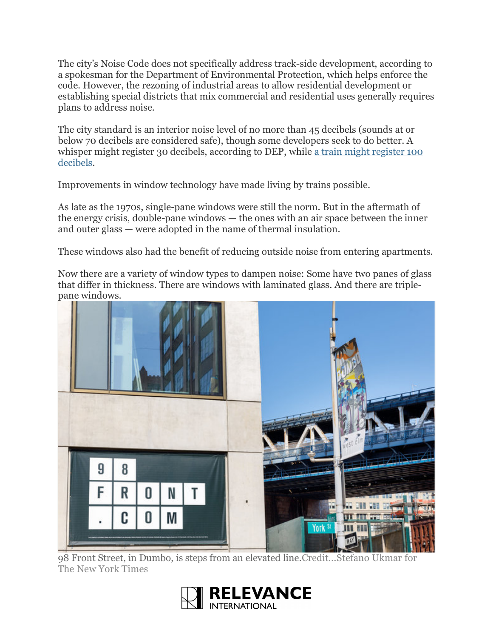The city's Noise Code does not specifically address track-side development, according to a spokesman for the Department of Environmental Protection, which helps enforce the code. However, the rezoning of industrial areas to allow residential development or establishing special districts that mix commercial and residential uses generally requires plans to address noise.

The city standard is an interior noise level of no more than 45 decibels (sounds at or below 70 decibels are considered safe), though some developers seek to do better. A whisper might register 30 decibels, according to DEP, while a train might register 100 decibels.

Improvements in window technology have made living by trains possible.

As late as the 1970s, single-pane windows were still the norm. But in the aftermath of the energy crisis, double-pane windows — the ones with an air space between the inner and outer glass — were adopted in the name of thermal insulation.

These windows also had the benefit of reducing outside noise from entering apartments.

Now there are a variety of window types to dampen noise: Some have two panes of glass that differ in thickness. There are windows with laminated glass. And there are triplepane windows.



98 Front Street, in Dumbo, is steps from an elevated line.Credit...Stefano Ukmar for The New York Times

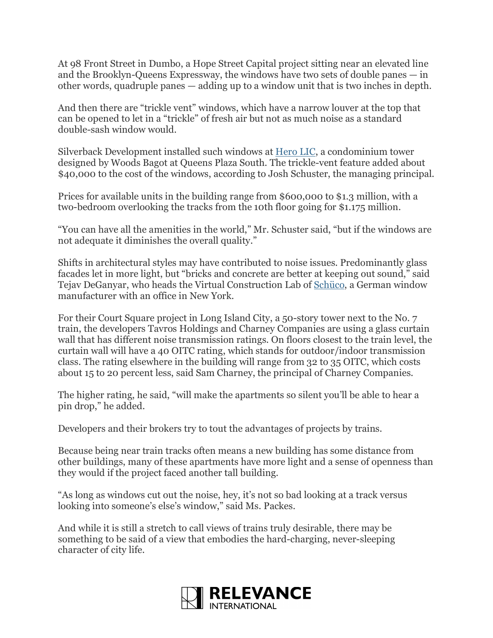At 98 Front Street in Dumbo, a Hope Street Capital project sitting near an elevated line and the Brooklyn-Queens Expressway, the windows have two sets of double panes — in other words, quadruple panes — adding up to a window unit that is two inches in depth.

And then there are "trickle vent" windows, which have a narrow louver at the top that can be opened to let in a "trickle" of fresh air but not as much noise as a standard double-sash window would.

Silverback Development installed such windows at Hero LIC, a condominium tower designed by Woods Bagot at Queens Plaza South. The trickle-vent feature added about \$40,000 to the cost of the windows, according to Josh Schuster, the managing principal.

Prices for available units in the building range from \$600,000 to \$1.3 million, with a two-bedroom overlooking the tracks from the 10th floor going for \$1.175 million.

"You can have all the amenities in the world," Mr. Schuster said, "but if the windows are not adequate it diminishes the overall quality."

Shifts in architectural styles may have contributed to noise issues. Predominantly glass facades let in more light, but "bricks and concrete are better at keeping out sound," said Tejav DeGanyar, who heads the Virtual Construction Lab of Schüco, a German window manufacturer with an office in New York.

For their Court Square project in Long Island City, a 50-story tower next to the No. 7 train, the developers Tavros Holdings and Charney Companies are using a glass curtain wall that has different noise transmission ratings. On floors closest to the train level, the curtain wall will have a 40 OITC rating, which stands for outdoor/indoor transmission class. The rating elsewhere in the building will range from 32 to 35 OITC, which costs about 15 to 20 percent less, said Sam Charney, the principal of Charney Companies.

The higher rating, he said, "will make the apartments so silent you'll be able to hear a pin drop," he added.

Developers and their brokers try to tout the advantages of projects by trains.

Because being near train tracks often means a new building has some distance from other buildings, many of these apartments have more light and a sense of openness than they would if the project faced another tall building.

"As long as windows cut out the noise, hey, it's not so bad looking at a track versus looking into someone's else's window," said Ms. Packes.

And while it is still a stretch to call views of trains truly desirable, there may be something to be said of a view that embodies the hard-charging, never-sleeping character of city life.

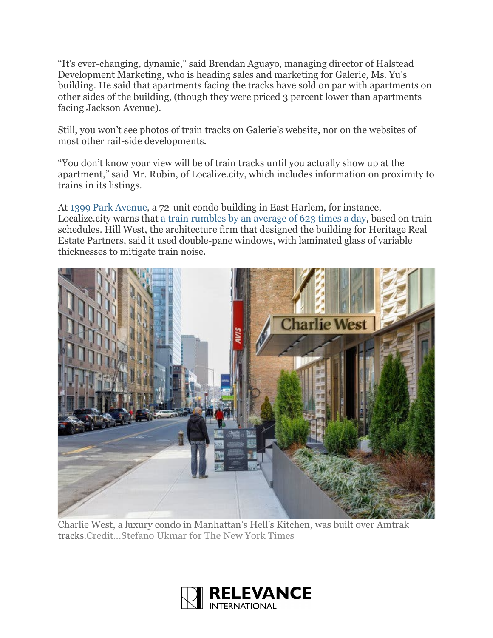"It's ever-changing, dynamic," said Brendan Aguayo, managing director of Halstead Development Marketing, who is heading sales and marketing for Galerie, Ms. Yu's building. He said that apartments facing the tracks have sold on par with apartments on other sides of the building, (though they were priced 3 percent lower than apartments facing Jackson Avenue).

Still, you won't see photos of train tracks on Galerie's website, nor on the websites of most other rail-side developments.

"You don't know your view will be of train tracks until you actually show up at the apartment," said Mr. Rubin, of Localize.city, which includes information on proximity to trains in its listings.

At 1399 Park Avenue, a 72-unit condo building in East Harlem, for instance, Localize.city warns that a train rumbles by an average of 623 times a day, based on train schedules. Hill West, the architecture firm that designed the building for Heritage Real Estate Partners, said it used double-pane windows, with laminated glass of variable thicknesses to mitigate train noise.



Charlie West, a luxury condo in Manhattan's Hell's Kitchen, was built over Amtrak tracks.Credit...Stefano Ukmar for The New York Times